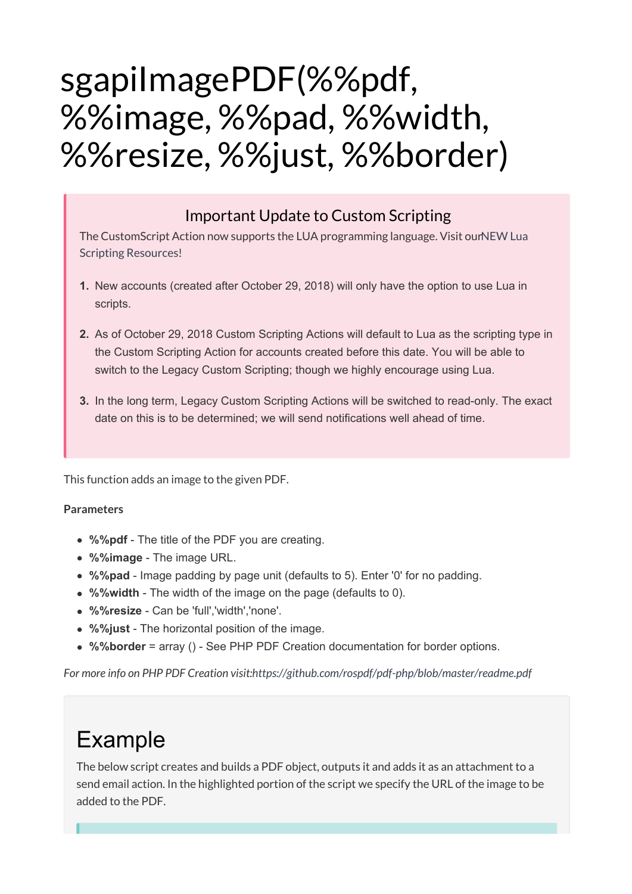# sgapiImagePDF(%%pdf, %%image, %%pad, %%width, %%resize, %%just, %%border)

### Important Update to Custom Scripting

The CustomScript Action now supports the LUA programming language. Visit ourNEW Lua Scripting Resources!

- **1.** New accounts (created after October 29, 2018) will only have the option to use Lua in scripts.
- **2.** As of October 29, 2018 Custom Scripting Actions will default to Lua as the scripting type in the Custom Scripting Action for accounts created before this date. You will be able to switch to the Legacy Custom Scripting; though we highly encourage using Lua.
- **3.** In the long term, Legacy Custom Scripting Actions will be switched to read-only. The exact date on this is to be determined; we will send notifications well ahead of time.

This function adds an image to the given PDF.

#### **Parameters**

- **%%pdf** The title of the PDF you are creating.
- **%%image** The image URL.
- **%%pad** Image padding by page unit (defaults to 5). Enter '0' for no padding.
- **%%width** The width of the image on the page (defaults to 0).
- **%%resize** Can be 'full','width','none'.
- **%%just** The horizontal position of the image.
- **%%border** = array () See PHP PDF Creation documentation for border options.

*For more info on PHP PDF Creation visit:https://github.com/rospdf/pdf-php/blob/master/readme.pdf*

## Example

The below script creates and builds a PDF object, outputs it and adds it as an attachment to a send email action. In the highlighted portion of the script we specify the URL of the image to be added to the PDF.